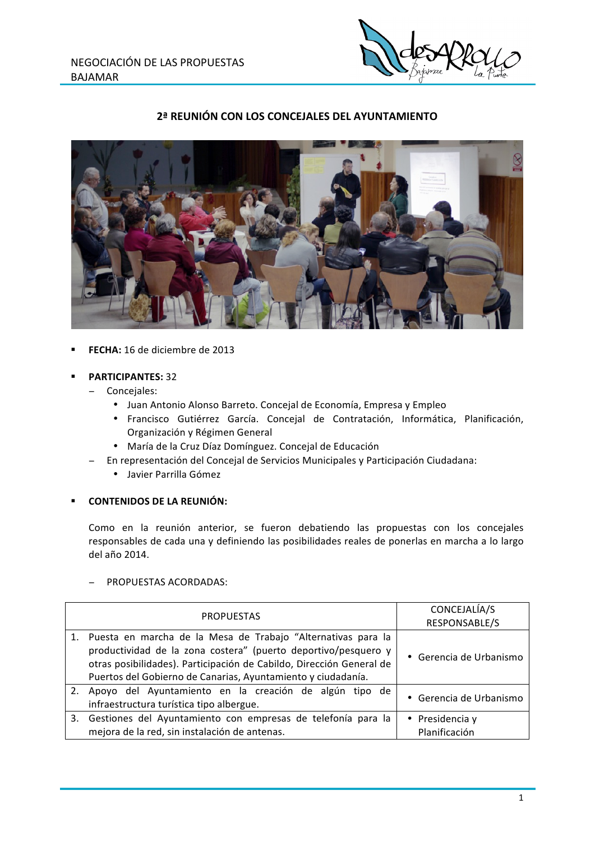

## 2ª REUNIÓN CON LOS CONCEJALES DEL AYUNTAMIENTO



FECHA: 16 de diciembre de 2013

### **PARTICIPANTES: 32**

- Concejales:
	- · Juan Antonio Alonso Barreto. Concejal de Economía, Empresa y Empleo
	- · Francisco Gutiérrez García. Concejal de Contratación, Informática, Planificación, Organización y Régimen General
	- · María de la Cruz Díaz Domínguez. Concejal de Educación
- En representación del Concejal de Servicios Municipales y Participación Ciudadana:
	- · Javier Parrilla Gómez

#### **CONTENIDOS DE LA REUNIÓN:**

Como en la reunión anterior, se fueron debatiendo las propuestas con los concejales responsables de cada una y definiendo las posibilidades reales de ponerlas en marcha a lo largo del año 2014.

#### **PROPUESTAS ACORDADAS:**

| <b>PROPUESTAS</b>                                                                                                                                                                                                                                                         | CONCEJALÍA/S<br>RESPONSABLE/S    |
|---------------------------------------------------------------------------------------------------------------------------------------------------------------------------------------------------------------------------------------------------------------------------|----------------------------------|
| 1. Puesta en marcha de la Mesa de Trabajo "Alternativas para la<br>productividad de la zona costera" (puerto deportivo/pesquero y<br>otras posibilidades). Participación de Cabildo, Dirección General de<br>Puertos del Gobierno de Canarias, Ayuntamiento y ciudadanía. | • Gerencia de Urbanismo          |
| 2. Apoyo del Ayuntamiento en la creación de algún tipo de<br>infraestructura turística tipo albergue.                                                                                                                                                                     | · Gerencia de Urbanismo          |
| 3. Gestiones del Ayuntamiento con empresas de telefonía para la<br>mejora de la red, sin instalación de antenas.                                                                                                                                                          | • Presidencia y<br>Planificación |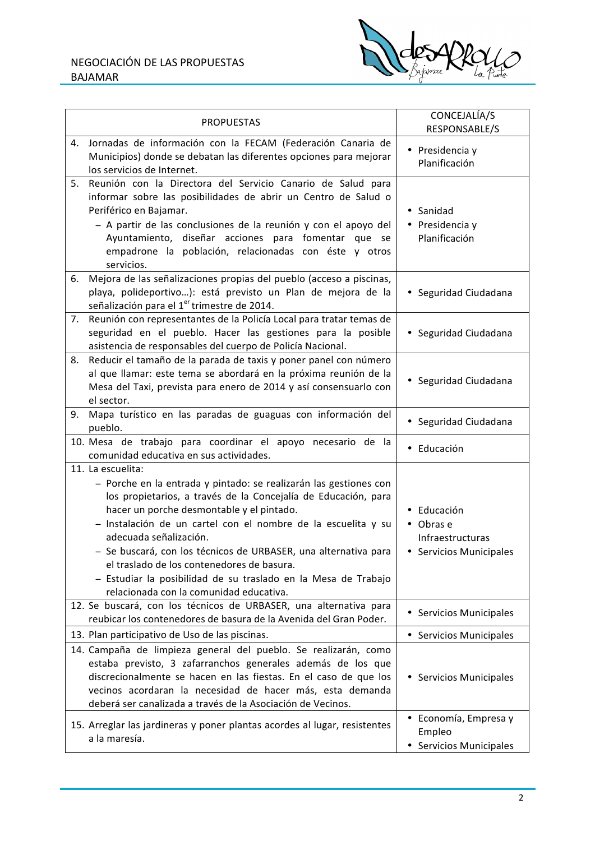# NEGOCIACIÓN DE LAS PROPUESTAS **BAJAMAR**



|    | <b>PROPUESTAS</b>                                                                                                                                                                                                                                                                                                                                                                                                                                                                                                              | CONCEJALÍA/S<br>RESPONSABLE/S                                           |
|----|--------------------------------------------------------------------------------------------------------------------------------------------------------------------------------------------------------------------------------------------------------------------------------------------------------------------------------------------------------------------------------------------------------------------------------------------------------------------------------------------------------------------------------|-------------------------------------------------------------------------|
| 4. | Jornadas de información con la FECAM (Federación Canaria de<br>Municipios) donde se debatan las diferentes opciones para mejorar<br>los servicios de Internet.                                                                                                                                                                                                                                                                                                                                                                 | • Presidencia y<br>Planificación                                        |
| 5. | Reunión con la Directora del Servicio Canario de Salud para<br>informar sobre las posibilidades de abrir un Centro de Salud o<br>Periférico en Bajamar.<br>- A partir de las conclusiones de la reunión y con el apoyo del<br>Ayuntamiento, diseñar acciones para fomentar que se<br>empadrone la población, relacionadas con éste y otros<br>servicios.                                                                                                                                                                       | • Sanidad<br>• Presidencia y<br>Planificación                           |
| 6. | Mejora de las señalizaciones propias del pueblo (acceso a piscinas,<br>playa, polideportivo): está previsto un Plan de mejora de la<br>señalización para el 1 <sup>er</sup> trimestre de 2014.                                                                                                                                                                                                                                                                                                                                 | • Seguridad Ciudadana                                                   |
| 7. | Reunión con representantes de la Policía Local para tratar temas de<br>seguridad en el pueblo. Hacer las gestiones para la posible<br>asistencia de responsables del cuerpo de Policía Nacional.                                                                                                                                                                                                                                                                                                                               | Seguridad Ciudadana                                                     |
| 8. | Reducir el tamaño de la parada de taxis y poner panel con número<br>al que llamar: este tema se abordará en la próxima reunión de la<br>Mesa del Taxi, prevista para enero de 2014 y así consensuarlo con<br>el sector.                                                                                                                                                                                                                                                                                                        | · Seguridad Ciudadana                                                   |
| 9. | Mapa turístico en las paradas de guaguas con información del<br>pueblo.                                                                                                                                                                                                                                                                                                                                                                                                                                                        | • Seguridad Ciudadana                                                   |
|    | 10. Mesa de trabajo para coordinar el apoyo necesario de la<br>comunidad educativa en sus actividades.                                                                                                                                                                                                                                                                                                                                                                                                                         | · Educación                                                             |
|    | 11. La escuelita:<br>- Porche en la entrada y pintado: se realizarán las gestiones con<br>los propietarios, a través de la Concejalía de Educación, para<br>hacer un porche desmontable y el pintado.<br>- Instalación de un cartel con el nombre de la escuelita y su<br>adecuada señalización.<br>- Se buscará, con los técnicos de URBASER, una alternativa para<br>el traslado de los contenedores de basura.<br>- Estudiar la posibilidad de su traslado en la Mesa de Trabajo<br>relacionada con la comunidad educativa. | • Educación<br>• Obras e<br>Infraestructuras<br>• Servicios Municipales |
|    | 12. Se buscará, con los técnicos de URBASER, una alternativa para<br>reubicar los contenedores de basura de la Avenida del Gran Poder.                                                                                                                                                                                                                                                                                                                                                                                         | • Servicios Municipales                                                 |
|    | 13. Plan participativo de Uso de las piscinas.                                                                                                                                                                                                                                                                                                                                                                                                                                                                                 | • Servicios Municipales                                                 |
|    | 14. Campaña de limpieza general del pueblo. Se realizarán, como<br>estaba previsto, 3 zafarranchos generales además de los que<br>discrecionalmente se hacen en las fiestas. En el caso de que los<br>vecinos acordaran la necesidad de hacer más, esta demanda<br>deberá ser canalizada a través de la Asociación de Vecinos.                                                                                                                                                                                                 | • Servicios Municipales                                                 |
|    | 15. Arreglar las jardineras y poner plantas acordes al lugar, resistentes<br>a la maresía.                                                                                                                                                                                                                                                                                                                                                                                                                                     | • Economía, Empresa y<br>Empleo<br>• Servicios Municipales              |